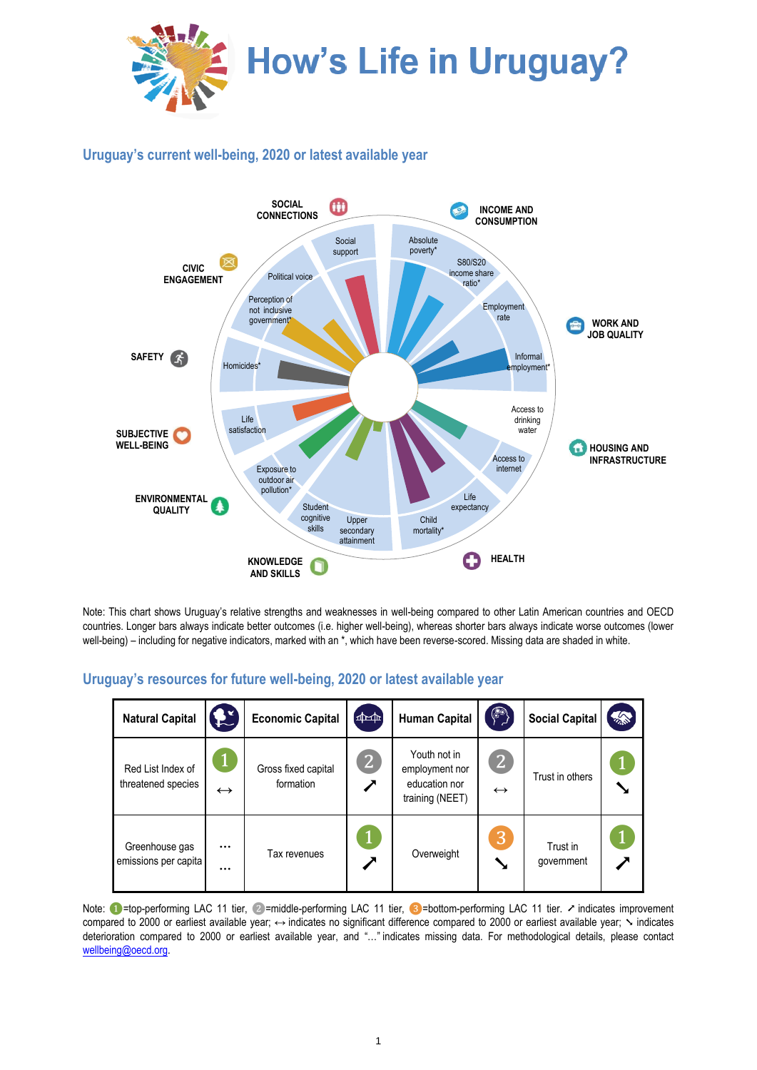

## **Uruguay's current well-being, 2020 or latest available year**



Note: This chart shows Uruguay's relative strengths and weaknesses in well-being compared to other Latin American countries and OECD countries. Longer bars always indicate better outcomes (i.e. higher well-being), whereas shorter bars always indicate worse outcomes (lower well-being) – including for negative indicators, marked with an \*, which have been reverse-scored. Missing data are shaded in white.

| <b>Natural Capital</b>                  |                      | <b>Economic Capital</b>          | $\frac{1}{2}$       | <b>Human Capital</b>                                               | $\left\langle \color{blue}\right.$  | <b>Social Capital</b>  | <b>TANK</b> |
|-----------------------------------------|----------------------|----------------------------------|---------------------|--------------------------------------------------------------------|-------------------------------------|------------------------|-------------|
| Red List Index of<br>threatened species | $\leftrightarrow$    | Gross fixed capital<br>formation | $\lfloor 2 \rfloor$ | Youth not in<br>employment nor<br>education nor<br>training (NEET) | $\overline{2}$<br>$\leftrightarrow$ | Trust in others        |             |
| Greenhouse gas<br>emissions per capita  | $\cdots$<br>$\cdots$ | Tax revenues                     | ╱                   | Overweight                                                         | 3                                   | Trust in<br>government |             |

## **Uruguay's resources for future well-being, 2020 or latest available year**

Note: ●=top-performing LAC 11 tier, ②=middle-performing LAC 11 tier, ③=bottom-performing LAC 11 tier. ↗ indicates improvement compared to 2000 or earliest available year; ↔ indicates no significant difference compared to 2000 or earliest available year; Sindicates deterioration compared to 2000 or earliest available year, and "…" indicates missing data. For methodological details, please contact [wellbeing@oecd.org.](mailto:wellbeing@oecd.org)